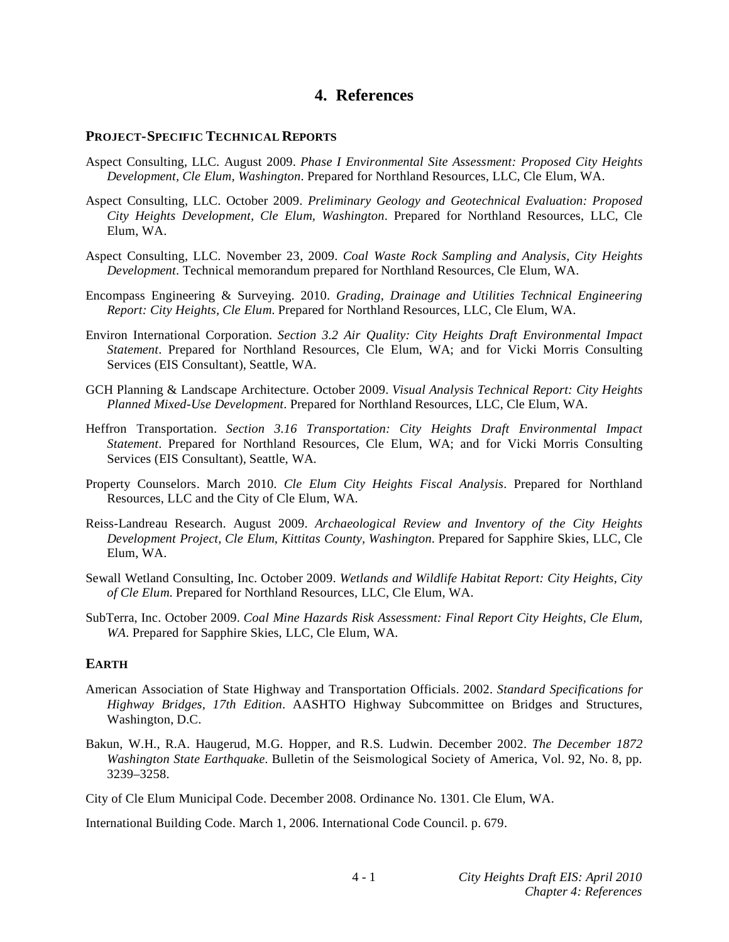# **4. References**

### **PROJECT-SPECIFIC TECHNICAL REPORTS**

- Aspect Consulting, LLC. August 2009. *Phase I Environmental Site Assessment: Proposed City Heights Development, Cle Elum, Washington*. Prepared for Northland Resources, LLC, Cle Elum, WA.
- Aspect Consulting, LLC. October 2009. *Preliminary Geology and Geotechnical Evaluation: Proposed City Heights Development, Cle Elum, Washington*. Prepared for Northland Resources, LLC, Cle Elum, WA.
- Aspect Consulting, LLC. November 23, 2009. *Coal Waste Rock Sampling and Analysis, City Heights Development*. Technical memorandum prepared for Northland Resources, Cle Elum, WA.
- Encompass Engineering & Surveying. 2010. *Grading, Drainage and Utilities Technical Engineering Report: City Heights, Cle Elum*. Prepared for Northland Resources, LLC, Cle Elum, WA.
- Environ International Corporation. *Section 3.2 Air Quality: City Heights Draft Environmental Impact Statement*. Prepared for Northland Resources, Cle Elum, WA; and for Vicki Morris Consulting Services (EIS Consultant), Seattle, WA.
- GCH Planning & Landscape Architecture. October 2009. *Visual Analysis Technical Report: City Heights Planned Mixed-Use Development*. Prepared for Northland Resources, LLC, Cle Elum, WA.
- Heffron Transportation. *Section 3.16 Transportation: City Heights Draft Environmental Impact Statement*. Prepared for Northland Resources, Cle Elum, WA; and for Vicki Morris Consulting Services (EIS Consultant), Seattle, WA.
- Property Counselors. March 2010. *Cle Elum City Heights Fiscal Analysis*. Prepared for Northland Resources, LLC and the City of Cle Elum, WA.
- Reiss-Landreau Research. August 2009. *Archaeological Review and Inventory of the City Heights Development Project, Cle Elum, Kittitas County, Washington*. Prepared for Sapphire Skies, LLC, Cle Elum, WA.
- Sewall Wetland Consulting, Inc. October 2009. *Wetlands and Wildlife Habitat Report: City Heights, City of Cle Elum*. Prepared for Northland Resources, LLC, Cle Elum, WA.
- SubTerra, Inc. October 2009. *Coal Mine Hazards Risk Assessment: Final Report City Heights, Cle Elum, WA*. Prepared for Sapphire Skies, LLC, Cle Elum, WA.

### **EARTH**

- American Association of State Highway and Transportation Officials. 2002. *Standard Specifications for Highway Bridges, 17th Edition*. AASHTO Highway Subcommittee on Bridges and Structures, Washington, D.C.
- Bakun, W.H., R.A. Haugerud, M.G. Hopper, and R.S. Ludwin. December 2002. *The December 1872 Washington State Earthquake*. Bulletin of the Seismological Society of America, Vol. 92, No. 8, pp. 3239–3258.

City of Cle Elum Municipal Code. December 2008. Ordinance No. 1301. Cle Elum, WA.

International Building Code. March 1, 2006. International Code Council. p. 679.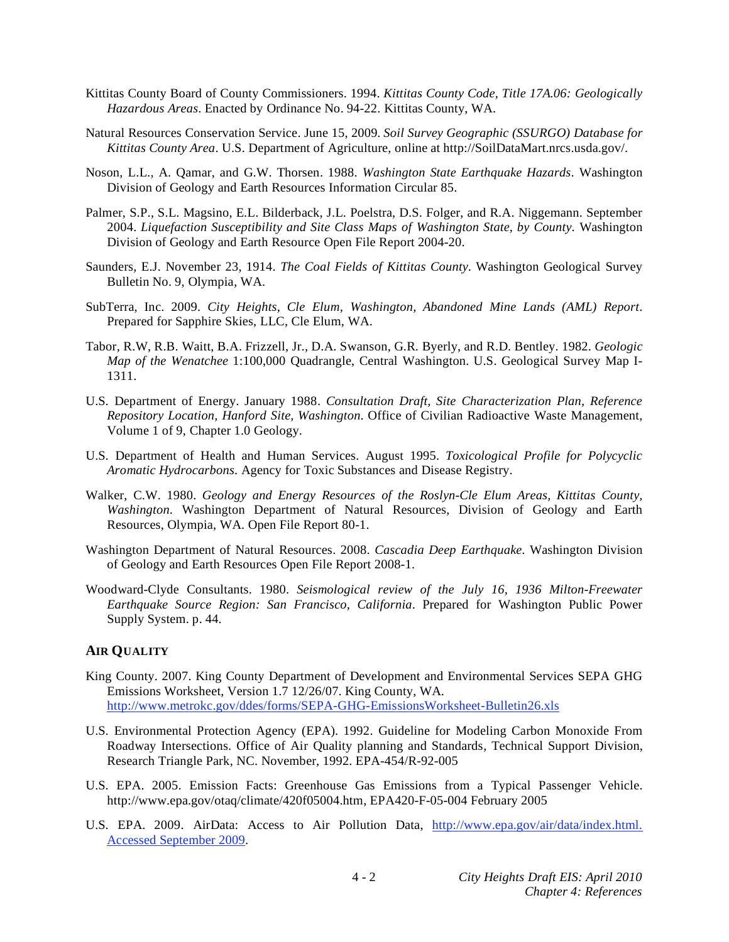- Kittitas County Board of County Commissioners. 1994. *Kittitas County Code, Title 17A.06: Geologically Hazardous Areas*. Enacted by Ordinance No. 94-22. Kittitas County, WA.
- Natural Resources Conservation Service. June 15, 2009. *Soil Survey Geographic (SSURGO) Database for Kittitas County Area*. U.S. Department of Agriculture, online at http://SoilDataMart.nrcs.usda.gov/.
- Noson, L.L., A. Qamar, and G.W. Thorsen. 1988. *Washington State Earthquake Hazards*. Washington Division of Geology and Earth Resources Information Circular 85.
- Palmer, S.P., S.L. Magsino, E.L. Bilderback, J.L. Poelstra, D.S. Folger, and R.A. Niggemann. September 2004. *Liquefaction Susceptibility and Site Class Maps of Washington State, by County*. Washington Division of Geology and Earth Resource Open File Report 2004-20.
- Saunders, E.J. November 23, 1914. *The Coal Fields of Kittitas County*. Washington Geological Survey Bulletin No. 9, Olympia, WA.
- SubTerra, Inc. 2009. *City Heights, Cle Elum, Washington, Abandoned Mine Lands (AML) Report*. Prepared for Sapphire Skies, LLC, Cle Elum, WA.
- Tabor, R.W, R.B. Waitt, B.A. Frizzell, Jr., D.A. Swanson, G.R. Byerly, and R.D. Bentley. 1982. *Geologic Map of the Wenatchee* 1:100,000 Quadrangle, Central Washington. U.S. Geological Survey Map I-1311.
- U.S. Department of Energy. January 1988. *Consultation Draft, Site Characterization Plan, Reference Repository Location, Hanford Site, Washington*. Office of Civilian Radioactive Waste Management, Volume 1 of 9, Chapter 1.0 Geology.
- U.S. Department of Health and Human Services. August 1995. *Toxicological Profile for Polycyclic Aromatic Hydrocarbons*. Agency for Toxic Substances and Disease Registry.
- Walker, C.W. 1980. *Geology and Energy Resources of the Roslyn-Cle Elum Areas, Kittitas County, Washington*. Washington Department of Natural Resources, Division of Geology and Earth Resources, Olympia, WA. Open File Report 80-1.
- Washington Department of Natural Resources. 2008. *Cascadia Deep Earthquake*. Washington Division of Geology and Earth Resources Open File Report 2008-1.
- Woodward-Clyde Consultants. 1980. *Seismological review of the July 16, 1936 Milton-Freewater Earthquake Source Region: San Francisco, California*. Prepared for Washington Public Power Supply System. p. 44.

# **AIR QUALITY**

- King County. 2007. King County Department of Development and Environmental Services SEPA GHG Emissions Worksheet, Version 1.7 12/26/07. King County, WA. http://www.metrokc.gov/ddes/forms/SEPA-GHG-EmissionsWorksheet-Bulletin26.xls
- U.S. Environmental Protection Agency (EPA). 1992. Guideline for Modeling Carbon Monoxide From Roadway Intersections. Office of Air Quality planning and Standards, Technical Support Division, Research Triangle Park, NC. November, 1992. EPA-454/R-92-005
- U.S. EPA. 2005. Emission Facts: Greenhouse Gas Emissions from a Typical Passenger Vehicle. http://www.epa.gov/otaq/climate/420f05004.htm, EPA420-F-05-004 February 2005
- U.S. EPA. 2009. AirData: Access to Air Pollution Data, http://www.epa.gov/air/data/index.html. Accessed September 2009.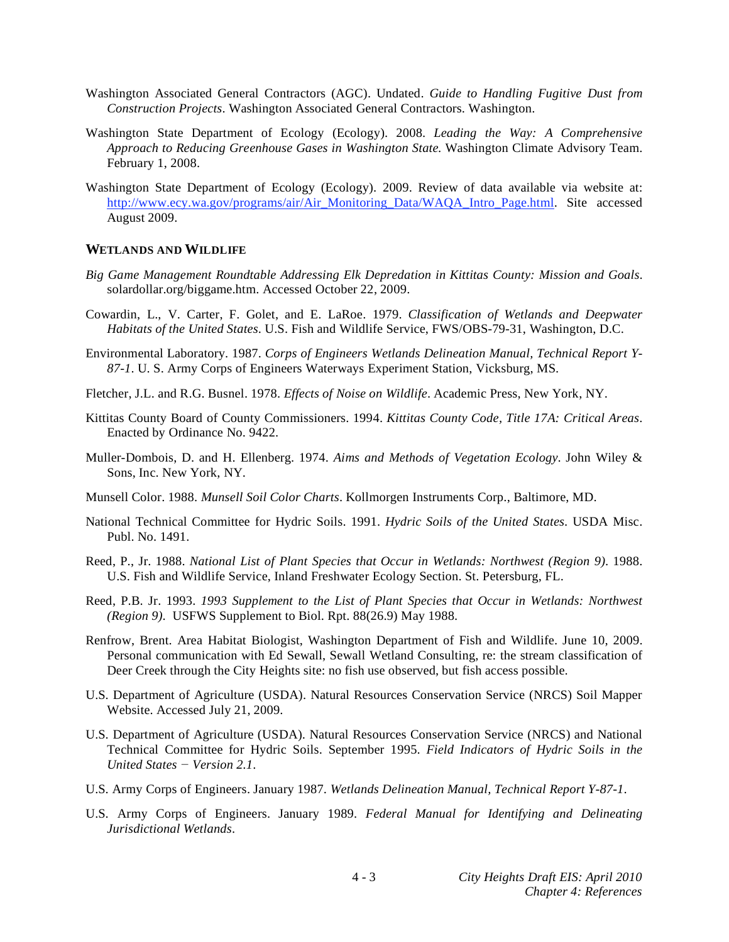- Washington Associated General Contractors (AGC). Undated. *Guide to Handling Fugitive Dust from Construction Projects*. Washington Associated General Contractors. Washington.
- Washington State Department of Ecology (Ecology). 2008. *Leading the Way: A Comprehensive Approach to Reducing Greenhouse Gases in Washington State.* Washington Climate Advisory Team. February 1, 2008.
- Washington State Department of Ecology (Ecology). 2009. Review of data available via website at: http://www.ecy.wa.gov/programs/air/Air\_Monitoring\_Data/WAQA\_Intro\_Page.html. Site accessed August 2009.

### **WETLANDS AND WILDLIFE**

- *Big Game Management Roundtable Addressing Elk Depredation in Kittitas County: Mission and Goals*. solardollar.org/biggame.htm. Accessed October 22, 2009.
- Cowardin, L., V. Carter, F. Golet, and E. LaRoe. 1979. *Classification of Wetlands and Deepwater Habitats of the United States*. U.S. Fish and Wildlife Service, FWS/OBS-79-31, Washington, D.C.
- Environmental Laboratory. 1987. *Corps of Engineers Wetlands Delineation Manual, Technical Report Y-87-1*. U. S. Army Corps of Engineers Waterways Experiment Station, Vicksburg, MS.
- Fletcher, J.L. and R.G. Busnel. 1978. *Effects of Noise on Wildlife*. Academic Press, New York, NY.
- Kittitas County Board of County Commissioners. 1994. *Kittitas County Code, Title 17A: Critical Areas*. Enacted by Ordinance No. 9422.
- Muller-Dombois, D. and H. Ellenberg. 1974. *Aims and Methods of Vegetation Ecology*. John Wiley & Sons, Inc. New York, NY.
- Munsell Color. 1988. *Munsell Soil Color Charts*. Kollmorgen Instruments Corp., Baltimore, MD.
- National Technical Committee for Hydric Soils. 1991. *Hydric Soils of the United States*. USDA Misc. Publ. No. 1491.
- Reed, P., Jr. 1988. *National List of Plant Species that Occur in Wetlands: Northwest (Region 9)*. 1988. U.S. Fish and Wildlife Service, Inland Freshwater Ecology Section. St. Petersburg, FL.
- Reed, P.B. Jr. 1993. *1993 Supplement to the List of Plant Species that Occur in Wetlands: Northwest (Region 9)*. USFWS Supplement to Biol. Rpt. 88(26.9) May 1988.
- Renfrow, Brent. Area Habitat Biologist, Washington Department of Fish and Wildlife. June 10, 2009. Personal communication with Ed Sewall, Sewall Wetland Consulting, re: the stream classification of Deer Creek through the City Heights site: no fish use observed, but fish access possible.
- U.S. Department of Agriculture (USDA). Natural Resources Conservation Service (NRCS) Soil Mapper Website. Accessed July 21, 2009.
- U.S. Department of Agriculture (USDA). Natural Resources Conservation Service (NRCS) and National Technical Committee for Hydric Soils. September 1995. *Field Indicators of Hydric Soils in the United States – Version 2.1.*
- U.S. Army Corps of Engineers. January 1987. *Wetlands Delineation Manual, Technical Report Y-87-1*.
- U.S. Army Corps of Engineers. January 1989. *Federal Manual for Identifying and Delineating Jurisdictional Wetlands*.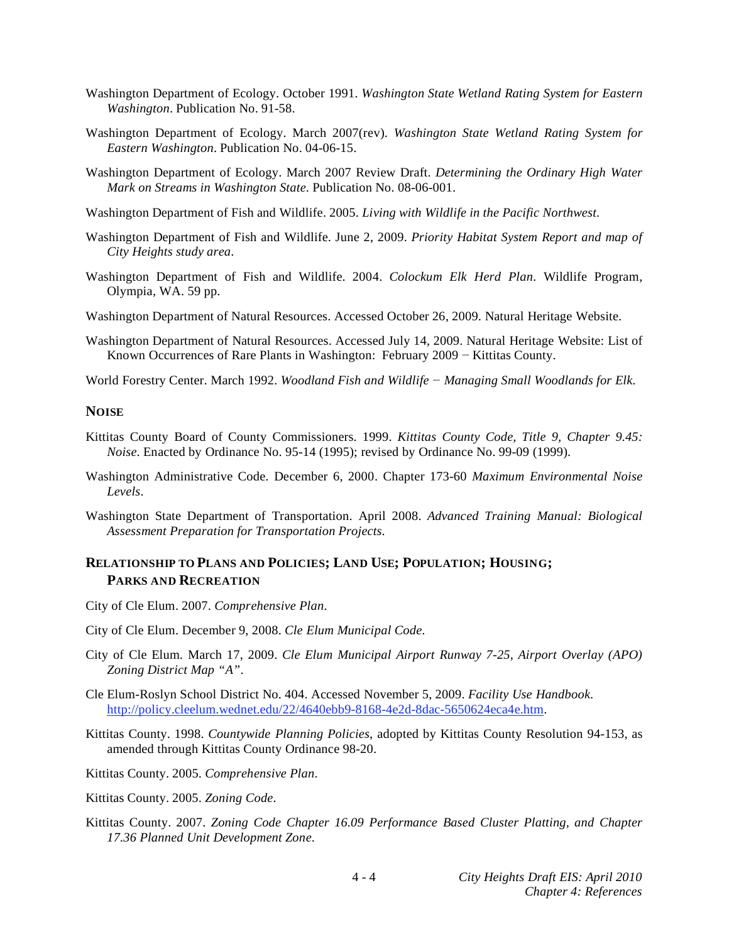- Washington Department of Ecology. October 1991. *Washington State Wetland Rating System for Eastern Washington*. Publication No. 91-58.
- Washington Department of Ecology. March 2007(rev). *Washington State Wetland Rating System for Eastern Washington*. Publication No. 04-06-15.
- Washington Department of Ecology. March 2007 Review Draft. *Determining the Ordinary High Water Mark on Streams in Washington State*. Publication No. 08-06-001.
- Washington Department of Fish and Wildlife. 2005. *Living with Wildlife in the Pacific Northwest*.
- Washington Department of Fish and Wildlife. June 2, 2009. *Priority Habitat System Report and map of City Heights study area*.
- Washington Department of Fish and Wildlife. 2004. *Colockum Elk Herd Plan*. Wildlife Program, Olympia, WA. 59 pp.
- Washington Department of Natural Resources. Accessed October 26, 2009. Natural Heritage Website.
- Washington Department of Natural Resources. Accessed July 14, 2009. Natural Heritage Website: List of Known Occurrences of Rare Plants in Washington: February  $2009 -$ Kittitas County.
- World Forestry Center. March 1992. *Woodland Fish and Wildlife Managing Small Woodlands for Elk*.

#### **NOISE**

- Kittitas County Board of County Commissioners. 1999. *Kittitas County Code, Title 9, Chapter 9.45: Noise*. Enacted by Ordinance No. 95-14 (1995); revised by Ordinance No. 99-09 (1999).
- Washington Administrative Code. December 6, 2000. Chapter 173-60 *Maximum Environmental Noise Levels*.
- Washington State Department of Transportation. April 2008. *Advanced Training Manual: Biological Assessment Preparation for Transportation Projects*.

# **RELATIONSHIP TO PLANS AND POLICIES; LAND USE; POPULATION; HOUSING; PARKS AND RECREATION**

- City of Cle Elum. 2007. *Comprehensive Plan*.
- City of Cle Elum. December 9, 2008. *Cle Elum Municipal Code*.
- City of Cle Elum. March 17, 2009. *Cle Elum Municipal Airport Runway 7-25, Airport Overlay (APO) Zoning District Map "A"*.
- Cle Elum-Roslyn School District No. 404. Accessed November 5, 2009. *Facility Use Handbook*. http://policy.cleelum.wednet.edu/22/4640ebb9-8168-4e2d-8dac-5650624eca4e.htm.
- Kittitas County. 1998. *Countywide Planning Policies*, adopted by Kittitas County Resolution 94-153, as amended through Kittitas County Ordinance 98-20.
- Kittitas County. 2005. *Comprehensive Plan*.
- Kittitas County. 2005. *Zoning Code*.
- Kittitas County. 2007. *Zoning Code Chapter 16.09 Performance Based Cluster Platting, and Chapter 17.36 Planned Unit Development Zone*.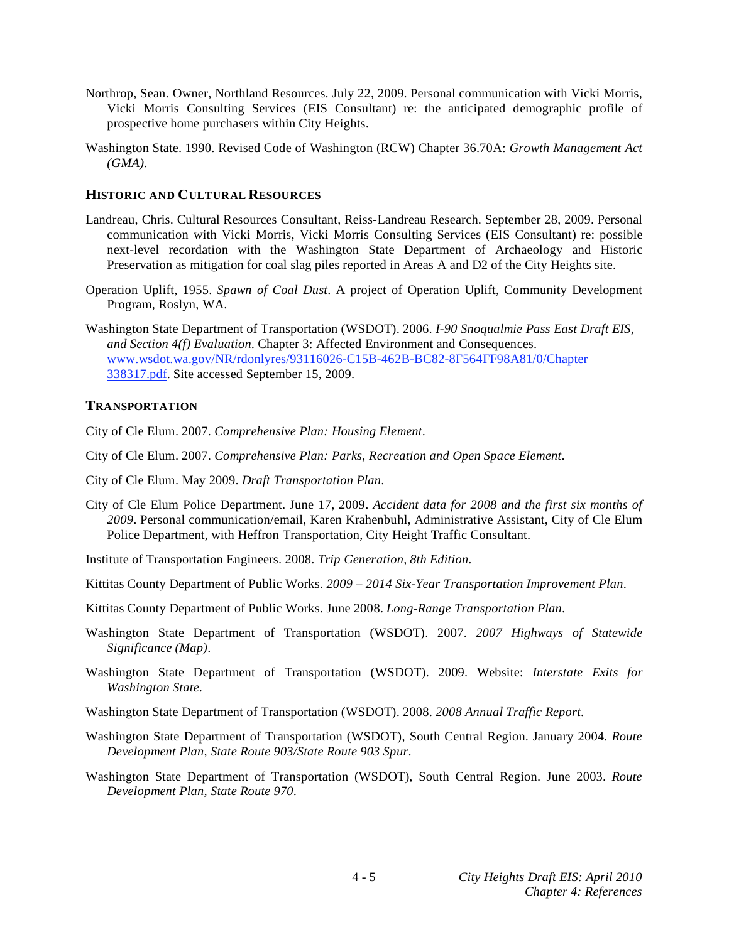- Northrop, Sean. Owner, Northland Resources. July 22, 2009. Personal communication with Vicki Morris, Vicki Morris Consulting Services (EIS Consultant) re: the anticipated demographic profile of prospective home purchasers within City Heights.
- Washington State. 1990. Revised Code of Washington (RCW) Chapter 36.70A: *Growth Management Act (GMA)*.

### **HISTORIC AND CULTURAL RESOURCES**

- Landreau, Chris. Cultural Resources Consultant, Reiss-Landreau Research. September 28, 2009. Personal communication with Vicki Morris, Vicki Morris Consulting Services (EIS Consultant) re: possible next-level recordation with the Washington State Department of Archaeology and Historic Preservation as mitigation for coal slag piles reported in Areas A and D2 of the City Heights site.
- Operation Uplift, 1955. *Spawn of Coal Dust*. A project of Operation Uplift, Community Development Program, Roslyn, WA.
- Washington State Department of Transportation (WSDOT). 2006. *I-90 Snoqualmie Pass East Draft EIS, and Section 4(f) Evaluation*. Chapter 3: Affected Environment and Consequences. www.wsdot.wa.gov/NR/rdonlyres/93116026-C15B-462B-BC82-8F564FF98A81/0/Chapter 338317.pdf. Site accessed September 15, 2009.

## **TRANSPORTATION**

City of Cle Elum. 2007. *Comprehensive Plan: Housing Element*.

- City of Cle Elum. 2007. *Comprehensive Plan: Parks, Recreation and Open Space Element*.
- City of Cle Elum. May 2009. *Draft Transportation Plan*.
- City of Cle Elum Police Department. June 17, 2009. *Accident data for 2008 and the first six months of 2009*. Personal communication/email, Karen Krahenbuhl, Administrative Assistant, City of Cle Elum Police Department, with Heffron Transportation, City Height Traffic Consultant.
- Institute of Transportation Engineers. 2008. *Trip Generation, 8th Edition*.
- Kittitas County Department of Public Works. *2009 2014 Six-Year Transportation Improvement Plan*.
- Kittitas County Department of Public Works. June 2008. *Long-Range Transportation Plan*.
- Washington State Department of Transportation (WSDOT). 2007. *2007 Highways of Statewide Significance (Map)*.
- Washington State Department of Transportation (WSDOT). 2009. Website: *Interstate Exits for Washington State*.
- Washington State Department of Transportation (WSDOT). 2008. *2008 Annual Traffic Report*.
- Washington State Department of Transportation (WSDOT), South Central Region. January 2004. *Route Development Plan, State Route 903/State Route 903 Spur*.
- Washington State Department of Transportation (WSDOT), South Central Region. June 2003. *Route Development Plan, State Route 970*.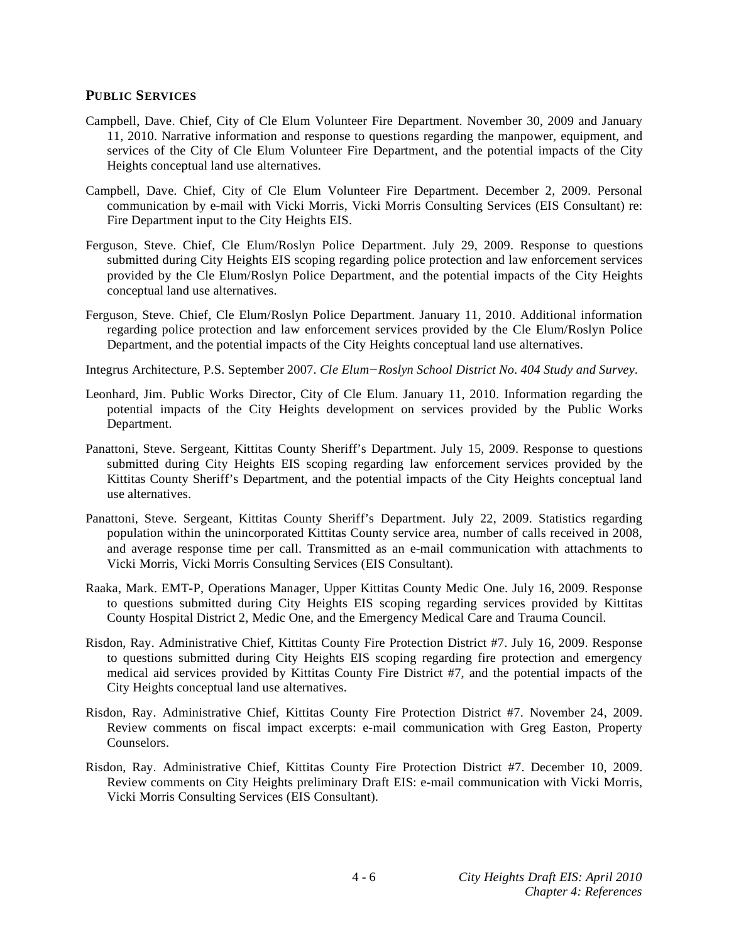### **PUBLIC SERVICES**

- Campbell, Dave. Chief, City of Cle Elum Volunteer Fire Department. November 30, 2009 and January 11, 2010. Narrative information and response to questions regarding the manpower, equipment, and services of the City of Cle Elum Volunteer Fire Department, and the potential impacts of the City Heights conceptual land use alternatives.
- Campbell, Dave. Chief, City of Cle Elum Volunteer Fire Department. December 2, 2009. Personal communication by e-mail with Vicki Morris, Vicki Morris Consulting Services (EIS Consultant) re: Fire Department input to the City Heights EIS.
- Ferguson, Steve. Chief, Cle Elum/Roslyn Police Department. July 29, 2009. Response to questions submitted during City Heights EIS scoping regarding police protection and law enforcement services provided by the Cle Elum/Roslyn Police Department, and the potential impacts of the City Heights conceptual land use alternatives.
- Ferguson, Steve. Chief, Cle Elum/Roslyn Police Department. January 11, 2010. Additional information regarding police protection and law enforcement services provided by the Cle Elum/Roslyn Police Department, and the potential impacts of the City Heights conceptual land use alternatives.
- Integrus Architecture, P.S. September 2007. *Cle ElumRoslyn School District No. 404 Study and Survey*.
- Leonhard, Jim. Public Works Director, City of Cle Elum. January 11, 2010. Information regarding the potential impacts of the City Heights development on services provided by the Public Works Department.
- Panattoni, Steve. Sergeant, Kittitas County Sheriff's Department. July 15, 2009. Response to questions submitted during City Heights EIS scoping regarding law enforcement services provided by the Kittitas County Sheriff's Department, and the potential impacts of the City Heights conceptual land use alternatives.
- Panattoni, Steve. Sergeant, Kittitas County Sheriff's Department. July 22, 2009. Statistics regarding population within the unincorporated Kittitas County service area, number of calls received in 2008, and average response time per call. Transmitted as an e-mail communication with attachments to Vicki Morris, Vicki Morris Consulting Services (EIS Consultant).
- Raaka, Mark. EMT-P, Operations Manager, Upper Kittitas County Medic One. July 16, 2009. Response to questions submitted during City Heights EIS scoping regarding services provided by Kittitas County Hospital District 2, Medic One, and the Emergency Medical Care and Trauma Council.
- Risdon, Ray. Administrative Chief, Kittitas County Fire Protection District #7. July 16, 2009. Response to questions submitted during City Heights EIS scoping regarding fire protection and emergency medical aid services provided by Kittitas County Fire District #7, and the potential impacts of the City Heights conceptual land use alternatives.
- Risdon, Ray. Administrative Chief, Kittitas County Fire Protection District #7. November 24, 2009. Review comments on fiscal impact excerpts: e-mail communication with Greg Easton, Property Counselors.
- Risdon, Ray. Administrative Chief, Kittitas County Fire Protection District #7. December 10, 2009. Review comments on City Heights preliminary Draft EIS: e-mail communication with Vicki Morris, Vicki Morris Consulting Services (EIS Consultant).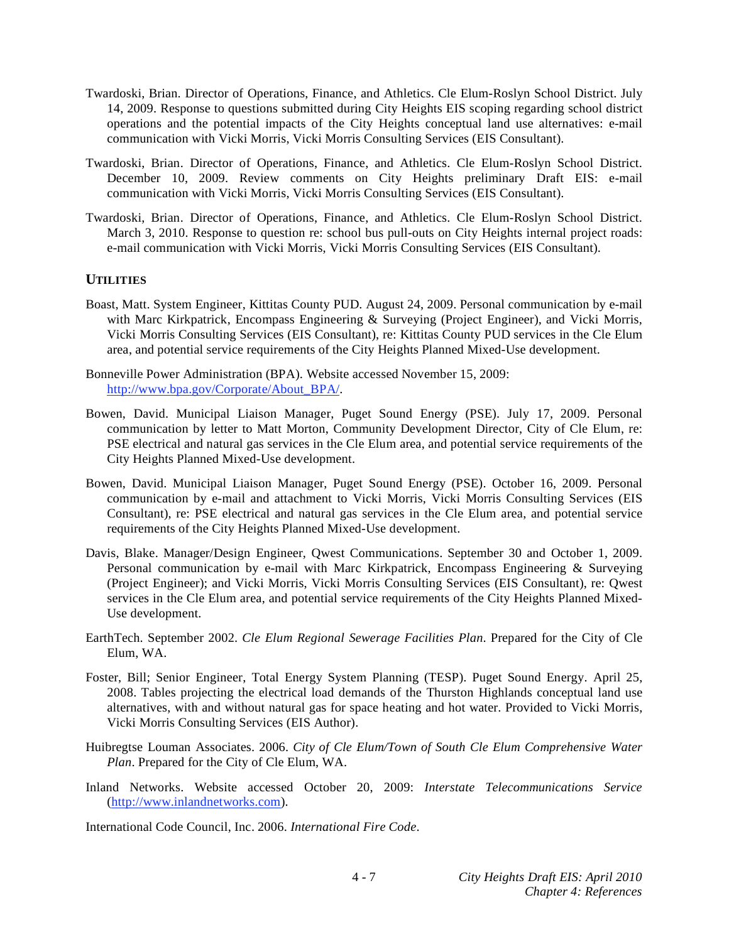- Twardoski, Brian. Director of Operations, Finance, and Athletics. Cle Elum-Roslyn School District. July 14, 2009. Response to questions submitted during City Heights EIS scoping regarding school district operations and the potential impacts of the City Heights conceptual land use alternatives: e-mail communication with Vicki Morris, Vicki Morris Consulting Services (EIS Consultant).
- Twardoski, Brian. Director of Operations, Finance, and Athletics. Cle Elum-Roslyn School District. December 10, 2009. Review comments on City Heights preliminary Draft EIS: e-mail communication with Vicki Morris, Vicki Morris Consulting Services (EIS Consultant).
- Twardoski, Brian. Director of Operations, Finance, and Athletics. Cle Elum-Roslyn School District. March 3, 2010. Response to question re: school bus pull-outs on City Heights internal project roads: e-mail communication with Vicki Morris, Vicki Morris Consulting Services (EIS Consultant).

### **UTILITIES**

- Boast, Matt. System Engineer, Kittitas County PUD. August 24, 2009. Personal communication by e-mail with Marc Kirkpatrick, Encompass Engineering & Surveying (Project Engineer), and Vicki Morris, Vicki Morris Consulting Services (EIS Consultant), re: Kittitas County PUD services in the Cle Elum area, and potential service requirements of the City Heights Planned Mixed-Use development.
- Bonneville Power Administration (BPA). Website accessed November 15, 2009: http://www.bpa.gov/Corporate/About\_BPA/.
- Bowen, David. Municipal Liaison Manager, Puget Sound Energy (PSE). July 17, 2009. Personal communication by letter to Matt Morton, Community Development Director, City of Cle Elum, re: PSE electrical and natural gas services in the Cle Elum area, and potential service requirements of the City Heights Planned Mixed-Use development.
- Bowen, David. Municipal Liaison Manager, Puget Sound Energy (PSE). October 16, 2009. Personal communication by e-mail and attachment to Vicki Morris, Vicki Morris Consulting Services (EIS Consultant), re: PSE electrical and natural gas services in the Cle Elum area, and potential service requirements of the City Heights Planned Mixed-Use development.
- Davis, Blake. Manager/Design Engineer, Qwest Communications. September 30 and October 1, 2009. Personal communication by e-mail with Marc Kirkpatrick, Encompass Engineering & Surveying (Project Engineer); and Vicki Morris, Vicki Morris Consulting Services (EIS Consultant), re: Qwest services in the Cle Elum area, and potential service requirements of the City Heights Planned Mixed-Use development.
- EarthTech. September 2002. *Cle Elum Regional Sewerage Facilities Plan*. Prepared for the City of Cle Elum, WA.
- Foster, Bill; Senior Engineer, Total Energy System Planning (TESP). Puget Sound Energy. April 25, 2008. Tables projecting the electrical load demands of the Thurston Highlands conceptual land use alternatives, with and without natural gas for space heating and hot water. Provided to Vicki Morris, Vicki Morris Consulting Services (EIS Author).
- Huibregtse Louman Associates. 2006. *City of Cle Elum/Town of South Cle Elum Comprehensive Water Plan*. Prepared for the City of Cle Elum, WA.
- Inland Networks. Website accessed October 20, 2009: *Interstate Telecommunications Service* (http://www.inlandnetworks.com).

International Code Council, Inc. 2006. *International Fire Code*.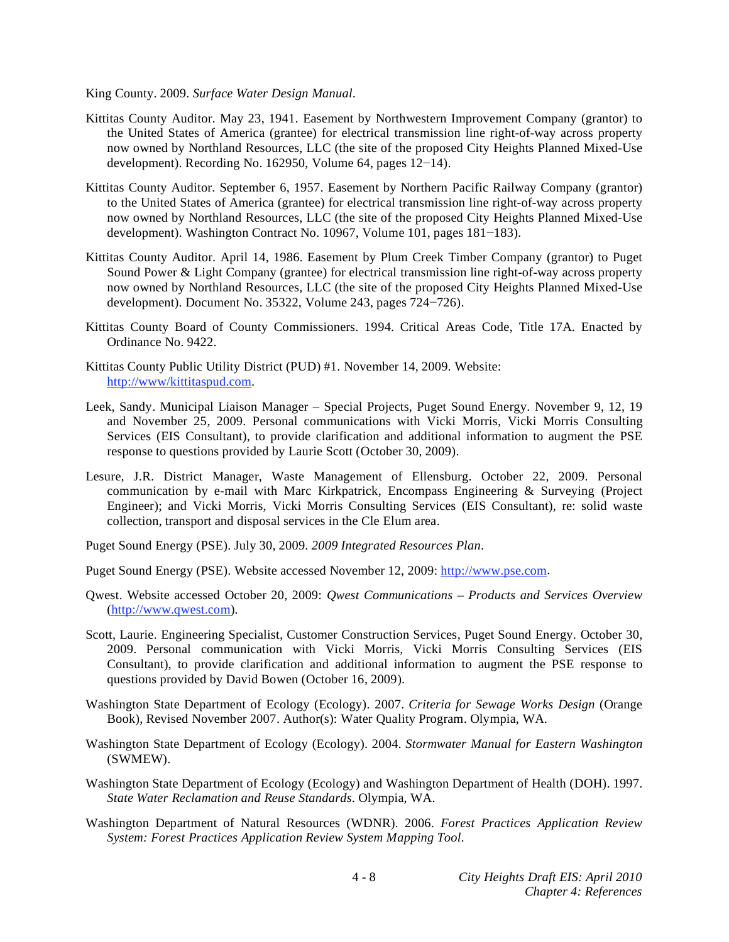King County. 2009. *Surface Water Design Manual*.

- Kittitas County Auditor. May 23, 1941. Easement by Northwestern Improvement Company (grantor) to the United States of America (grantee) for electrical transmission line right-of-way across property now owned by Northland Resources, LLC (the site of the proposed City Heights Planned Mixed-Use development). Recording No. 162950, Volume 64, pages  $12-14$ .
- Kittitas County Auditor. September 6, 1957. Easement by Northern Pacific Railway Company (grantor) to the United States of America (grantee) for electrical transmission line right-of-way across property now owned by Northland Resources, LLC (the site of the proposed City Heights Planned Mixed-Use development). Washington Contract No. 10967, Volume 101, pages  $181-183$ .
- Kittitas County Auditor. April 14, 1986. Easement by Plum Creek Timber Company (grantor) to Puget Sound Power & Light Company (grantee) for electrical transmission line right-of-way across property now owned by Northland Resources, LLC (the site of the proposed City Heights Planned Mixed-Use development). Document No.  $35322$ , Volume 243, pages  $724-726$ .
- Kittitas County Board of County Commissioners. 1994. Critical Areas Code, Title 17A. Enacted by Ordinance No. 9422.
- Kittitas County Public Utility District (PUD) #1. November 14, 2009. Website: http://www/kittitaspud.com.
- Leek, Sandy. Municipal Liaison Manager Special Projects, Puget Sound Energy. November 9, 12, 19 and November 25, 2009. Personal communications with Vicki Morris, Vicki Morris Consulting Services (EIS Consultant), to provide clarification and additional information to augment the PSE response to questions provided by Laurie Scott (October 30, 2009).
- Lesure, J.R. District Manager, Waste Management of Ellensburg. October 22, 2009. Personal communication by e-mail with Marc Kirkpatrick, Encompass Engineering & Surveying (Project Engineer); and Vicki Morris, Vicki Morris Consulting Services (EIS Consultant), re: solid waste collection, transport and disposal services in the Cle Elum area.
- Puget Sound Energy (PSE). July 30, 2009. *2009 Integrated Resources Plan*.
- Puget Sound Energy (PSE). Website accessed November 12, 2009: http://www.pse.com.
- Qwest. Website accessed October 20, 2009: *Qwest Communications Products and Services Overview*  (http://www.qwest.com).
- Scott, Laurie. Engineering Specialist, Customer Construction Services, Puget Sound Energy. October 30, 2009. Personal communication with Vicki Morris, Vicki Morris Consulting Services (EIS Consultant), to provide clarification and additional information to augment the PSE response to questions provided by David Bowen (October 16, 2009).
- Washington State Department of Ecology (Ecology). 2007. *Criteria for Sewage Works Design* (Orange Book), Revised November 2007. Author(s): Water Quality Program. Olympia, WA.
- Washington State Department of Ecology (Ecology). 2004. *Stormwater Manual for Eastern Washington*  (SWMEW).
- Washington State Department of Ecology (Ecology) and Washington Department of Health (DOH). 1997. *State Water Reclamation and Reuse Standards*. Olympia, WA.
- Washington Department of Natural Resources (WDNR). 2006. *Forest Practices Application Review System: Forest Practices Application Review System Mapping Tool*.